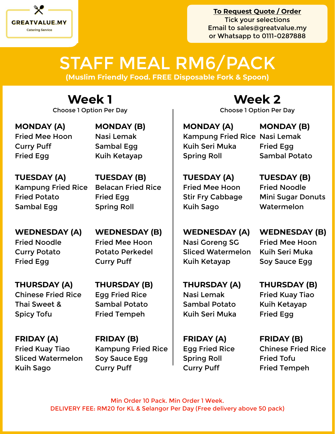

## STAFF MEAL RM6/PACK

**(Muslim Friendly Food. FREE Disposable Fork & Spoon)**

### **Week 1**

**MONDAY (A)** Fried Mee Hoon Curry Puff Fried Egg

**MONDAY (B)** Nasi Lemak Sambal Egg Kuih Ketayap

**TUESDAY (A)** Kampung Fried Rice Fried Potato Sambal Egg

**TUESDAY (B)** Belacan Fried Rice Fried Egg Spring Roll

**WEDNESDAY (A)** Fried Noodle Curry Potato Fried Egg

**THURSDAY (A)** Chinese Fried Rice Thai Sweet & Spicy Tofu

**FRIDAY (A)** Fried Kuay Tiao Sliced Watermelon Kuih Sago

**WEDNESDAY (B)** Fried Mee Hoon Potato Perkedel Curry Puff

**THURSDAY (B)** Egg Fried Rice Sambal Potato Fried Tempeh

**FRIDAY (B)** Kampung Fried Rice Soy Sauce Egg Curry Puff

### **Week 2**

Choose 1 Option Per Day Choose 1 Option Per Day

**MONDAY (A)** Kampung Fried Rice Nasi Lemak Kuih Seri Muka Spring Roll **MONDAY (B)**

Fried Egg Sambal Potato

**TUESDAY (A)** Fried Mee Hoon Stir Fry Cabbage Kuih Sago

**TUESDAY (B)** Fried Noodle Mini Sugar Donuts **Watermelon** 

**WEDNESDAY (A)** Nasi Goreng SG Sliced Watermelon Kuih Ketayap

**WEDNESDAY (B)** Fried Mee Hoon Kuih Seri Muka Soy Sauce Egg

**THURSDAY (A)** Nasi Lemak Sambal Potato Kuih Seri Muka

**FRIDAY (A)** Egg Fried Rice Spring Roll Curry Puff

**THURSDAY (B)** Fried Kuay Tiao Kuih Ketayap Fried Egg

**FRIDAY (B)** Chinese Fried Rice Fried Tofu Fried Tempeh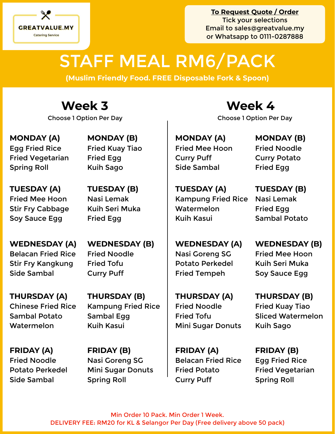

# STAFF MEAL RM6/PACK

**(Muslim Friendly Food. FREE Disposable Fork & Spoon)**

Choose 1 Option Per Day Choose 1 Option Per Day

**MONDAY (A)** Egg Fried Rice Fried Vegetarian Spring Roll

**MONDAY (B)** Fried Kuay Tiao Fried Egg Kuih Sago

**TUESDAY (A)** Fried Mee Hoon Stir Fry Cabbage Soy Sauce Egg

**TUESDAY (B)** Nasi Lemak Kuih Seri Muka Fried Egg

**WEDNESDAY (A)** Belacan Fried Rice Stir Fry Kangkung Side Sambal

**THURSDAY (A)** Chinese Fried Rice Sambal Potato Watermelon

**FRIDAY (A)**  Fried Noodle Potato Perkedel Side Sambal

Curry Puff **THURSDAY (B)** Kampung Fried Rice

**WEDNESDAY (B)**

Fried Noodle

Fried Tofu

Sambal Egg Kuih Kasui

**FRIDAY (B)** Nasi Goreng SG Mini Sugar Donuts Spring Roll

**Week 3 Week 4**

**MONDAY (A)** Fried Mee Hoon Curry Puff Side Sambal

**TUESDAY (A)** Kampung Fried Rice Watermelon Kuih Kasui

**TUESDAY (B)** Nasi Lemak Fried Egg Sambal Potato

**MONDAY (B)** Fried Noodle Curry Potato

Fried Egg

**WEDNESDAY (A)** Nasi Goreng SG Potato Perkedel Fried Tempeh

**THURSDAY (A)** Fried Noodle Fried Tofu Mini Sugar Donuts

**FRIDAY (A)** Belacan Fried Rice Fried Potato Curry Puff

**WEDNESDAY (B)** Fried Mee Hoon Kuih Seri Muka Soy Sauce Egg

**THURSDAY (B)** Fried Kuay Tiao Sliced Watermelon Kuih Sago

**FRIDAY (B)** Egg Fried Rice Fried Vegetarian Spring Roll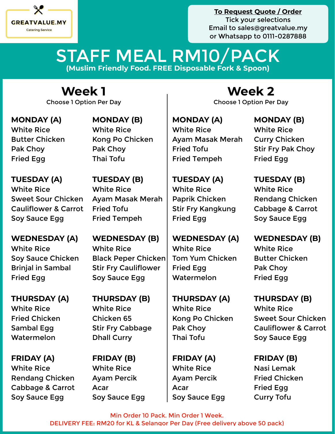

### **(Muslim Friendly Food. FREE Disposable Fork & Spoon)** STAFF MEAL RM10/PACK

Choose 1 Option Per Day Choose 1 Option Per Day

**MONDAY (A)** White Rice Butter Chicken Pak Choy Fried Egg

**MONDAY (B)** White Rice Kong Po Chicken Pak Choy Thai Tofu

**TUESDAY (A)** White Rice Sweet Sour Chicken Cauliflower & Carrot Soy Sauce Egg

**WEDNESDAY (A)** White Rice Soy Sauce Chicken Brinjal in Sambal Fried Egg

**THURSDAY (A)** White Rice Fried Chicken Sambal Egg Watermelon

**FRIDAY (A)** White Rice Rendang Chicken Cabbage & Carrot Soy Sauce Egg

**TUESDAY (B)** White Rice Ayam Masak Merah Fried Tofu Fried Tempeh

**WEDNESDAY (B)** White Rice Black Peper Chicken Stir Fry Cauliflower Soy Sauce Egg

**THURSDAY (B)** White Rice Chicken 65 Stir Fry Cabbage Dhall Curry

**FRIDAY (B)** White Rice Ayam Percik Acar Soy Sauce Egg

**Week 1 Week 2**

**MONDAY (A)** White Rice Ayam Masak Merah Fried Tofu Fried Tempeh

**TUESDAY (A)** White Rice Paprik Chicken Stir Fry Kangkung Fried Egg

**WEDNESDAY (A)** White Rice Tom Yum Chicken Fried Egg Watermelon

**THURSDAY (A)** White Rice Kong Po Chicken Pak Choy Thai Tofu

**FRIDAY (A)** White Rice Ayam Percik Acar Soy Sauce Egg **MONDAY (B)** White Rice Curry Chicken Stir Fry Pak Choy Fried Egg

**TUESDAY (B)** White Rice Rendang Chicken Cabbage & Carrot Soy Sauce Egg

**WEDNESDAY (B)** White Rice Butter Chicken Pak Choy Fried Egg

**THURSDAY (B)** White Rice Sweet Sour Chicken Cauliflower & Carrot Soy Sauce Egg

**FRIDAY (B)** Nasi Lemak Fried Chicken Fried Egg Curry Tofu

Min Order 10 Pack. Min Order 1 Week. DELIVERY FEE: RM20 for KL & Selangor Per Day (Free delivery above 50 pack)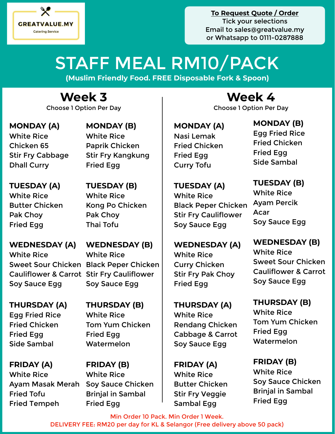

# STAFF MEAL RM10/PACK

**(Muslim Friendly Food. FREE Disposable Fork & Spoon)**

Choose 1 Option Per Day Choose 1 Option Per Day

**MONDAY (A)** White Rice Chicken 65 Stir Fry Cabbage Dhall Curry

**MONDAY (B)** White Rice Paprik Chicken Stir Fry Kangkung Fried Egg

**TUESDAY (B)**

Kong Po Chicken

White Rice

Pak Choy Thai Tofu

**TUESDAY (A)** White Rice Butter Chicken Pak Choy Fried Egg

**WEDNESDAY (A)** White Rice Sweet Sour Chicken Black Peper Chicken Cauliflower & Carrot Stir Fry Cauliflower Soy Sauce Egg

**THURSDAY (A)** Egg Fried Rice Fried Chicken Fried Egg Side Sambal

**FRIDAY (A)** White Rice Ayam Masak Merah Soy Sauce Chicken Fried Tofu Fried Tempeh

**WEDNESDAY (B)** White Rice Soy Sauce Egg

**THURSDAY (B)** White Rice Tom Yum Chicken Fried Egg Watermelon

**FRIDAY (B)** White Rice Brinjal in Sambal Fried Egg

## **Week 3 Week 4**

**MONDAY (A)** Nasi Lemak Fried Chicken Fried Egg Curry Tofu

**TUESDAY (A)** White Rice Black Peper Chicken Stir Fry Cauliflower Soy Sauce Egg

**WEDNESDAY (A)**

White Rice

Fried Egg

White Rice

**FRIDAY (A)** White Rice

Butter Chicken Stir Fry Veggie Sambal Egg

Curry Chicken

Stir Fry Pak Choy

**THURSDAY (A)**

Rendang Chicken Cabbage & Carrot Soy Sauce Egg

### Fried Chicken Fried Egg Side Sambal **TUESDAY (B)**

**MONDAY (B)** Egg Fried Rice

White Rice Ayam Percik Acar Soy Sauce Egg

**WEDNESDAY (B)** White Rice Sweet Sour Chicken Cauliflower & Carrot Soy Sauce Egg

**THURSDAY (B)** White Rice Tom Yum Chicken Fried Egg Watermelon

**FRIDAY (B)** White Rice Soy Sauce Chicken Brinjal in Sambal Fried Egg

Min Order 10 Pack. Min Order 1 Week. DELIVERY FEE: RM20 per day for KL & Selangor (Free delivery above 50 pack)